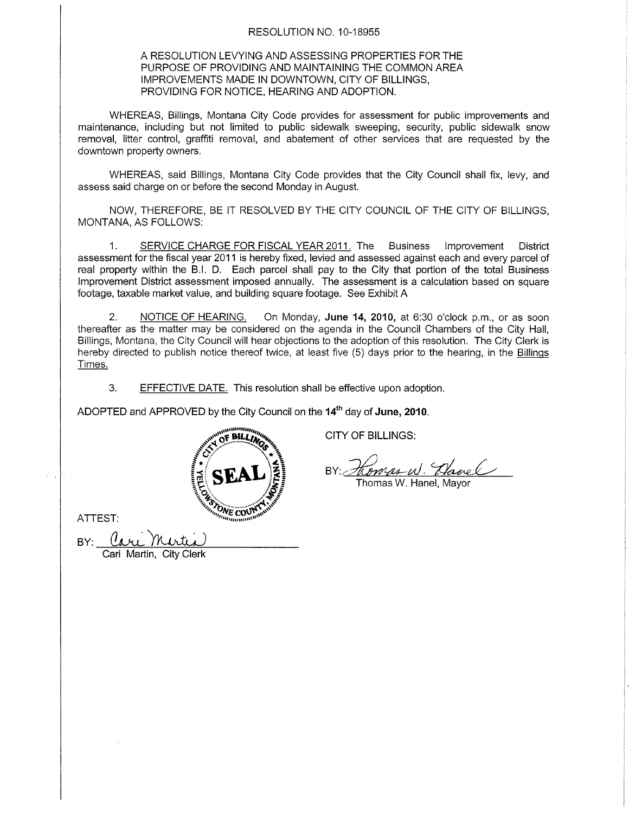## RESOLUTION NO. 10-18955

## A RESOLUTION LEVYING AND ASSESSING PROPERTIES FOR THE PURPOSE OF PROVIDING AND MAINTAINING THE COMMON AREA IMPROVEMENTS MADE IN DOWNTOWN, CITY OF BILLINGS, PROVIDING FOR NOTICE. HEARING AND ADOPTION.

WHEREAS, Billings, Montana City Code provides for assessment for public improvements and maintenance, including but not limited to public sidewalk sweeping, security, public sidewalk snow removal, litter control, graffiti removal, and abatement of other services that are requested by the downtown property owners.

WHEREAS, said Billings, Montana City Code provides that the City Council shall fix, levy, and assess said charge on or before the second Monday in August.

NOW, THEREFORE, BE IT RESOLVED BY THE CITY COUNCIL OF THE CITY OF BILLINGS, MONTANA, AS FOLLOWS:

1. SERVICE CHARGE FOR FISCAL YEAR 2011. The Business lmprovement District assessment for the fiscal year 2011 is hereby fixed, levied and assessed against each and every parcel of real property within the B.l. D. Each parcel shall pay to the City that portion of the total Business lmprovement District assessment imposed annually. The assessment is a calculation based on square footage, taxable market value, and building square footage. See Exhibit A

2. NOTICE OF HEARING, On Monday, June 14, 2010, at 6:30 o'clock p.m., or as soon thereafter as the matter may be considered on the agenda in the Council Chambers of the City Hall, Billings, Montana, the City Council will hear objections to the adoption of this resolution. The City Clerk is hereby directed to publish notice thereof twice, at least five (5) days prior to the hearing, in the Billinqs Times.

3. EFFECTIVE DATE. This resolution shall be effective upon adoption.

ADOPTED and APPROVED by the City Council on the 14<sup>th</sup> day of June, 2010.

 $\mathcal{E}$ 

anduna F BILLIN

 $\begin{matrix} 8 \\ 3 \end{matrix}$ 



<u> Kompes W. Clanel</u><br>Thomas W. Hanel, Mayor

ATTEST:

BY:

City Clerk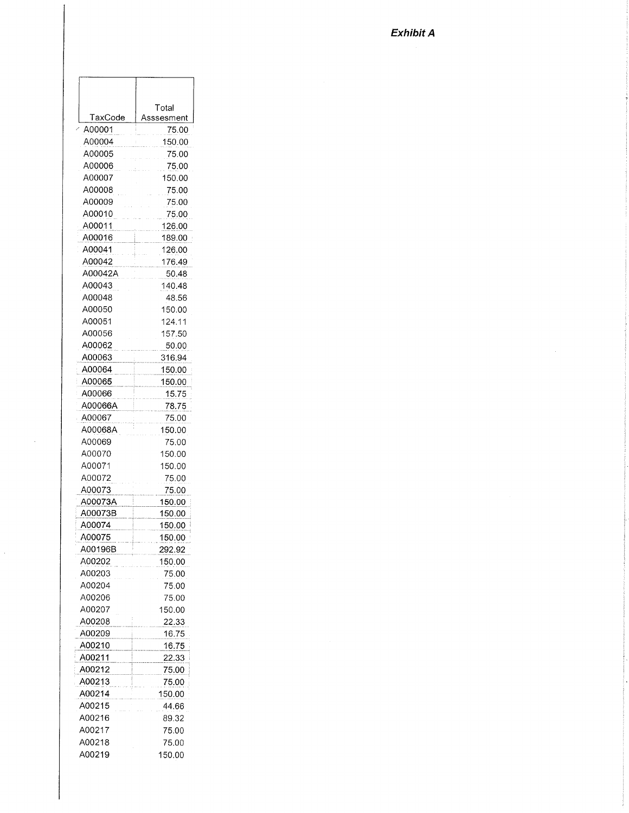|         | Total         |
|---------|---------------|
| TaxCode | Asssesment    |
| A00001  | 75.00         |
| A00004  | 150.00        |
| A00005  | 75.00         |
| A00006  | 75.00         |
| A00007  | 150.00        |
| A00008  | 75.00         |
| A00009  | 75.00         |
| A00010  | 75.00         |
| A00011  | 126.00        |
| A00016  | 189.00        |
| A00041  | 126.00        |
| A00042  | 176.49        |
| A00042A | 50.48         |
| A00043  | 140.48        |
| A00048  | 48.56         |
| A00050  | 150.00        |
| A00051  | 124.11        |
| A00056  | 157.50        |
| A00062  | 50.00         |
| A00063  | 316.94        |
| A00064  | 150.00        |
| A00065  | 150.00        |
| A00066  | 15.75         |
| A00066A | 78.75         |
| A00067  | 75.00         |
| A00068A | 150.00        |
| A00069  | 75.00         |
| A00070  | 150.00        |
| A00071  | 150.00        |
| A00072  | 75.00         |
| A00073  | 75.00         |
| A00073A | 150.00        |
| A00073B | 150.00        |
| A00074  | 150.00        |
| A00075  | <u>150.00</u> |
| A00196B | 292.92        |
| A00202  | 150.00        |
| A00203  | 75.00         |
| A00204  | 75.00         |
| A00206  | 75.00         |
| A00207  | 150.00        |
| A00208  | 22.33         |
| A00209  | 16.75         |
| A00210  | 16.75         |
| A00211  | 22.33         |
| A00212  | 75.00         |
| A00213  | 75.00         |
| A00214  | 150.00        |
| A00215  | 44.66         |
| A00216  | 89.32         |
| A00217  | 75.00         |
| A00218  | 75.00         |
|         |               |

A00219

150.00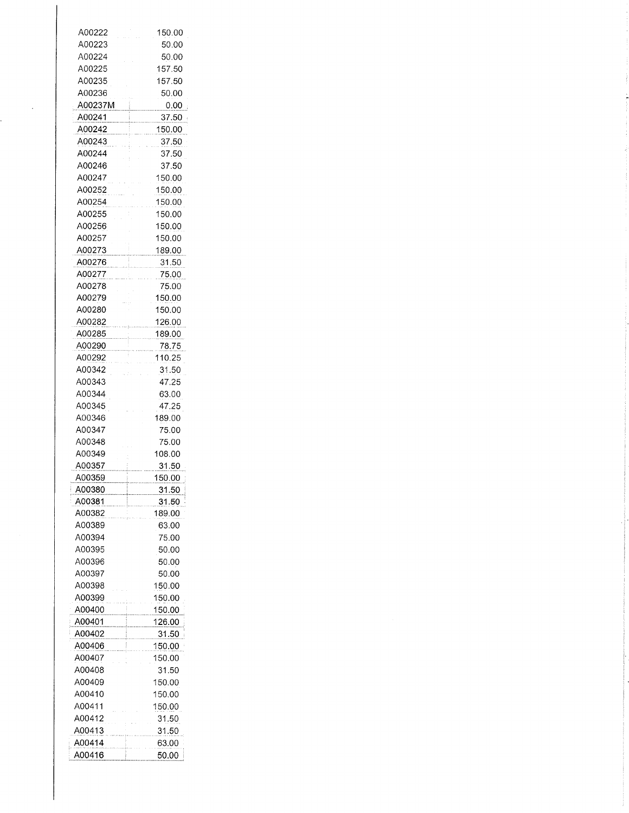| A00222  | 150.00       |
|---------|--------------|
| A00223  | 50.00        |
| A00224  | 50.00        |
| A00225  | 157.50       |
| A00235  | 157.50       |
|         |              |
| A00236  | 50.00        |
| A00237M | 0.00         |
| A00241  | 37.50        |
| A00242  | 150.00       |
| A00243  | 37.50        |
| A00244  | 37.50        |
| A00246  | 37.50        |
| A00247  | 150.00       |
| A00252  | 150.00       |
| A00254  | 150.00       |
| A00255  | 150.00       |
| A00256  | 150.00       |
| A00257  | 150.00       |
| A00273  | 189.00       |
| A00276  |              |
| A00277  | 31.50        |
| A00278  | 75.00        |
|         | 75.00        |
| A00279  | 150.00       |
| A00280  | 150.00       |
| A00282  | 126.00       |
| A00285  | 189.00       |
| A00290  | 78.75        |
| A00292  | 110.25       |
| A00342  | 31.50        |
| A00343  | 47.25        |
| A00344  | 63.00        |
| A00345  | 47.25        |
| A00346  | 189.00       |
| A00347  | 75.00        |
| A00348  | 75.00        |
| A00349  | 108.00       |
| A00357  | 31.50        |
| A00359  | 150.00       |
| A00380  | 31.50        |
| A00381  | 31.50        |
| A00382  | 189.00       |
| A00389  | 63.00        |
| A00394  | 75.00        |
| A00395  | 50.00        |
| A00396  | 50.00        |
| A00397  |              |
|         |              |
|         | 50.00        |
| A00398  | 150.00       |
| A00399  | 150.00       |
| A00400  | 150.00       |
| A00401  | 126.00       |
| A00402  | <u>31.50</u> |
| A00406  | 150.00       |
| A00407  | 150.00       |
| A00408  | 31.50        |
| A00409  | 150.00       |
| A00410  | 150.00       |
| A00411  | 150.00       |
| A00412  | 31.50        |
| A00413  | <u>31.50</u> |
| A00414  | 63.00        |

 $\epsilon$ 

j.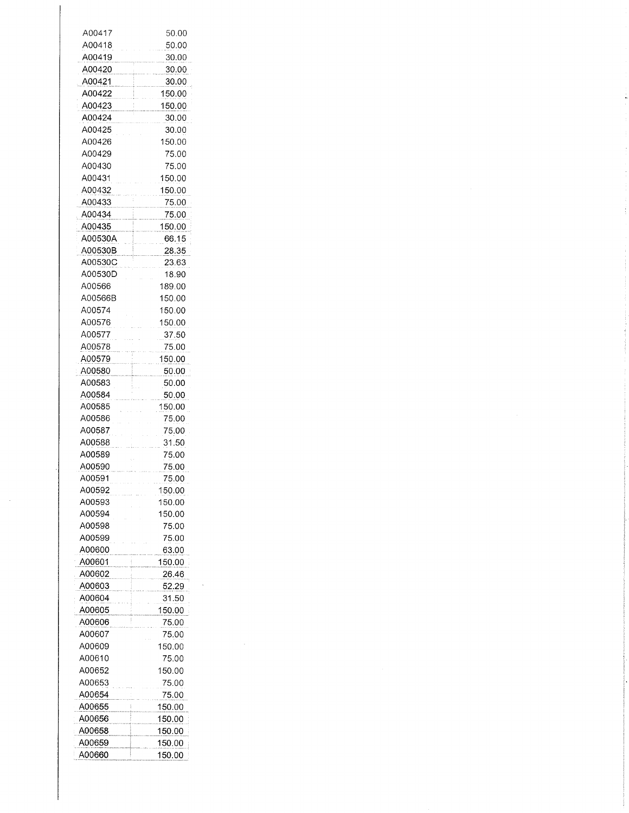| A00417  | 50.00  |
|---------|--------|
| A00418  | 50.00  |
| A00419  | 30.00  |
| A00420  | 30.00  |
| A00421  | 30.00  |
| A00422  | 150.00 |
|         |        |
| A00423  | 150.00 |
| A00424  | 30.00  |
| A00425  | 30.00  |
| A00426  | 150.00 |
| A00429  | 75.00  |
| A00430  | 75.00  |
| A00431  | 150.00 |
| A00432  | 150.00 |
| A00433  | 75.00  |
| A00434  | 75.00  |
| A00435  | 150.00 |
|         |        |
| A00530A | 66.15  |
| A00530B | 28.35  |
| A00530C | 23.63  |
| A00530D | 18.90  |
| A00566  | 189.00 |
| A00566B | 150.00 |
| A00574  | 150.00 |
| A00576  | 150.00 |
| A00577  | 37.50  |
|         |        |
| A00578  | 75.00  |
| A00579  | 150.00 |
| A00580  | 50.00  |
| A00583  | 50.00  |
| A00584  | 50.00  |
| A00585  | 150.00 |
| A00586  | 75.00  |
| A00587  | 75.00  |
|         |        |
| A00588  | 31.50  |
| A00589  | 75.00  |
| A00590  | 75.00  |
| A00591  | 75.00  |
| A00592  | 150.00 |
| A00593  | 150.00 |
| A00594  | 150.00 |
| A00598  | 75.00  |
| A00599  | 75.00  |
|         |        |
| A00600  | 63.00  |
| A00601  | 150.00 |
| A00602  | 26.46  |
| A00603  | 52.29  |
| A00604  | 31.50  |
| A00605  | 150.00 |
| A00606  | 75.00  |
| A00607  |        |
|         | 75.00  |
| A00609  | 150.00 |
| A00610  | 75.00  |
| A00652  | 150.00 |
| A00653  | 75.00  |
| A00654  | 75.00  |
| A00655  | 150.00 |
|         |        |
| A00656  | 150.00 |
| A00658  | 150.00 |
| A00659  | 150.00 |
| A00660  | 150.00 |

 $\frac{1}{2}$  ,  $\frac{1}{2}$ 

 $\frac{1}{2}$ 

 $\label{eq:1} \begin{split} \mathcal{L}_{\text{in}}(\mathcal{L}_{\text{in}}(\mathcal{L}_{\text{in}}(\mathcal{L}_{\text{in}}(\mathcal{L}_{\text{in}}(\mathcal{L}_{\text{in}}(\mathcal{L}_{\text{in}}(\mathcal{L}_{\text{in}}(\mathcal{L}_{\text{in}}(\mathcal{L}_{\text{in}}(\mathcal{L}_{\text{in}}(\mathcal{L}_{\text{in}}(\mathcal{L}_{\text{in}}(\mathcal{L}_{\text{in}}(\mathcal{L}_{\text{in}}(\mathcal{L}_{\text{in}}(\mathcal{L}_{\text{in}}(\mathcal{L}_{\text{in}}(\mathcal{L}_{\text{in$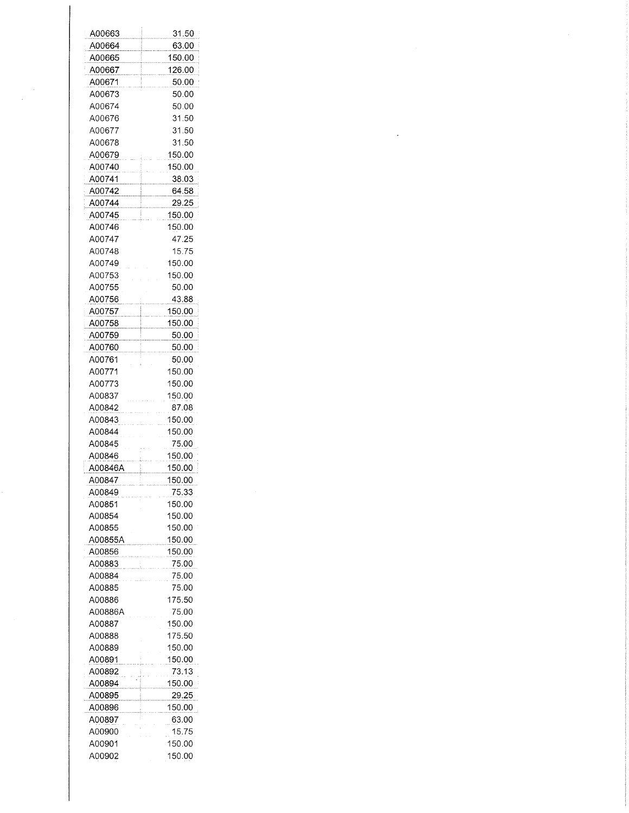| A00663           | 31.50         |
|------------------|---------------|
| A00664           | 63.00         |
| A00665           | 150.00        |
| A00667           | 126.00        |
| A00671           | 50.00         |
| A00673           | 50.00         |
| A00674           | 50.00         |
|                  | 31.50         |
| A00676           | 31.50         |
| A00677           |               |
| A00678           | 31.50         |
| A00679           | 150.00        |
| A00740           | 150.00        |
| A00741           | 38.03         |
| A00742           | 64.58         |
| A00744           | 29.25         |
| A00745           | 150.00        |
| A00746           | 150.00        |
| A00747           | 47.25         |
| A00748           | 15.75         |
| A00749           | 150.00        |
| A00753           | 150.00        |
| A00755           | 50.00         |
| A00756           | 43.88         |
| A00757           | <u>150.00</u> |
| A00758           | 150.00        |
| A00759           | 50.00         |
| A00760           | 50.00         |
| A00761           | 50.00         |
| A00771           | 150.00        |
| A00773           | 150.00        |
| A00837           | 150.00        |
| A00842           | 87.08         |
| A00843           | 150.00        |
| A00844           | 150.00        |
| A00845           | 75.00         |
| A00846           | 150.00        |
| A00846A          | 150.00        |
| A00847           | 150.00        |
| A00849           | 75.33         |
| A00851           | 150.00        |
| A00854           | 150.00        |
| A00855           | 150.00        |
| A00855A          | 150.00        |
| A00856           | 150.00        |
| A00883           | 75.00         |
| A00884           | 75.00         |
|                  | 75.00         |
| A00885<br>A00886 |               |
|                  | 175.50        |
| A00886A          | 75.00         |
| A00887           | 150.00        |
| A00888           | 175.50        |
| A00889           | 150.00        |
| A00891           | 150.00        |
| A00892           | 73.13         |
| A00894           | 150.00        |
| A00895           | 29.25         |
| A00896           | 150.00        |
| A00897           | 63.00         |
| A00900           | 15.75         |
| A00901           | 150.00        |
| A00902           | 150.00        |

 $\label{eq:2.1} \frac{1}{\sqrt{2}}\int_{\mathbb{R}^3}\frac{1}{\sqrt{2}}\left(\frac{1}{\sqrt{2}}\right)^2\frac{1}{\sqrt{2}}\left(\frac{1}{\sqrt{2}}\right)^2\frac{1}{\sqrt{2}}\left(\frac{1}{\sqrt{2}}\right)^2\frac{1}{\sqrt{2}}\left(\frac{1}{\sqrt{2}}\right)^2\frac{1}{\sqrt{2}}\left(\frac{1}{\sqrt{2}}\right)^2\frac{1}{\sqrt{2}}\frac{1}{\sqrt{2}}\frac{1}{\sqrt{2}}\frac{1}{\sqrt{2}}\frac{1}{\sqrt{2}}\frac{1}{\sqrt{2}}$ 

 $\frac{1}{\sqrt{2\pi}}\frac{1}{\sqrt{2\pi}}\frac{d\omega}{d\omega}$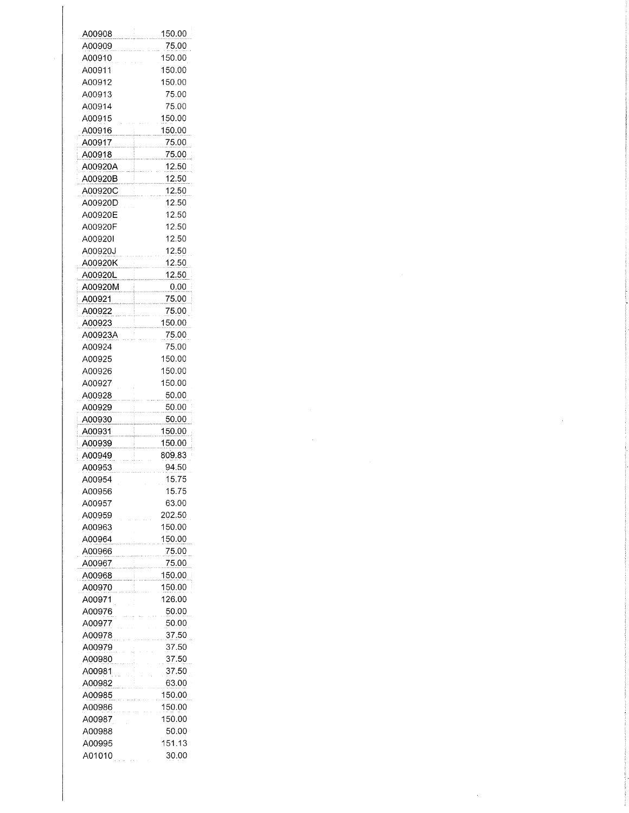| A00908  |              |
|---------|--------------|
|         | 150.00       |
| A00909  | 75.00        |
|         |              |
| A00910  | 150.00       |
| A00911  | 150.00       |
| A00912  | 150.00       |
|         |              |
| A00913  | 75.00        |
| A00914  | 75.00        |
| A00915  | 150.00       |
|         |              |
| A00916  | 150.00       |
| A00917  | 75.00        |
| A00918  | 75.00        |
|         |              |
| A00920A | 12.50        |
| A00920B | 12.50        |
| A00920C | 12.50        |
|         |              |
| A00920D | 12.50        |
| A00920E | 12.50        |
| A00920F | 12.50        |
| A00920I | 12.50        |
|         |              |
| A00920J | 12.50        |
| A00920K | <u>12.50</u> |
| A00920L | 12.50        |
|         |              |
| A00920M | 0.00         |
| A00921  | 75.00        |
| A00922  | 75.00        |
|         |              |
| A00923  | 150.00       |
| A00923A | 75.00        |
| A00924  | 75.00        |
| A00925  | 150.00       |
|         |              |
| A00926  | 150.00       |
| A00927  | 150.00       |
| A00928  | 50.00        |
|         |              |
| A00929  | 50.00        |
| A00930  | 50.00        |
| A00931  | 150.00       |
|         |              |
| A00939  | 150.00       |
| A00949  | 809.83       |
| A00953  | 94.50        |
| A00954  | 15.75        |
|         |              |
| A00956  | 15.75        |
| A00957  | 63.00        |
|         |              |
|         |              |
| A00959  | 202.50       |
| A00963  | 150.00       |
| A00964  | 150.00       |
| A00966  | 75.00        |
|         |              |
| A00967  | 75.00        |
| A00968  | 150.00       |
| A00970  | 150.00       |
|         |              |
| A00971  | 126.00       |
| A00976  | 50.00        |
| A00977  | 50.00        |
| A00978  | 37.50        |
|         |              |
| A00979  | 37.50        |
| A00980  | 37.50        |
| A00981  | 37.50        |
|         |              |
| A00982  | 63.00        |
| A00985  | 150.00       |
| A00986  | 150.00       |
| A00987  | 150.00       |
|         |              |
| A00988  | 50.00        |
| A00995  | 151.13       |
| A01010  | 30.00        |

 $\mathcal{L}^{\text{max}}_{\text{max}}$  and  $\mathcal{L}^{\text{max}}_{\text{max}}$ 

 $\mathcal{L}^{\text{max}}_{\text{max}}$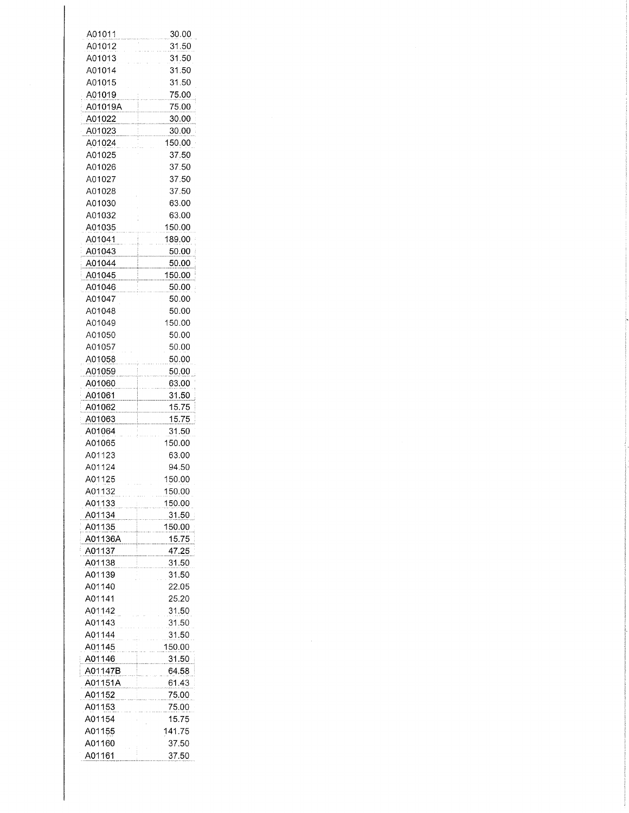| A01011  | 30.00        |
|---------|--------------|
| A01012  | 31.50        |
| A01013  | 31.50        |
| A01014  | 31.50        |
| A01015  | 31.50        |
| A01019  |              |
|         | 75.00        |
| A01019A | 75.00        |
| A01022  | 30.00        |
| A01023  | 30.00        |
| A01024  | 150.00       |
| A01025  | 37.50        |
| A01026  | 37.50        |
| A01027  | 37.50        |
| A01028  | 37.50        |
| A01030  | 63.00        |
| A01032  | 63.00        |
| A01035  | 150.00       |
| A01041  | 189.00       |
|         | 50.00        |
| A01043  |              |
| A01044  | 50.00        |
| A01045  | 150.00       |
| A01046  | 50.00        |
| A01047  | 50.00        |
| A01048  | 50.00        |
| A01049  | 150.00       |
| A01050  | 50.00        |
| A01057  | 50.00        |
| A01058  | 50.00        |
| A01059  | 50.00        |
| A01060  | 63.00        |
| A01061  | 31.50        |
| A01062  | 15.75        |
|         | 15.75        |
| A01063  |              |
| A01064  | 31.50        |
| A01065  | 150.00       |
| A01123  | 63.00        |
| A01124  | 94.50        |
| A01125  | 150.00       |
| A01132  | 150.00       |
| A01133  | 150.00       |
| A01134  | <u>31.50</u> |
| A01135  | 150.00       |
| A01136A | 15.75        |
| A01137  | <u>47.25</u> |
| A01138  | 31.50        |
| A01139  | 31.50        |
| A01140  | 22.05        |
| A01141  | 25.20        |
| A01142  | 31.50        |
|         |              |
| A01143  | 31.50        |
| A01144  | 31.50        |
| A01145  | 150.00       |
| A01146  | 31.50        |
| A01147B | 64.58        |
| A01151A | 61.43        |
| A01152  | 75.00        |
| A01153  | 75.00        |
| A01154  | 15.75        |
| A01155  | 141.75       |
| A01160  | 37.50        |
| A01161  | 37.50        |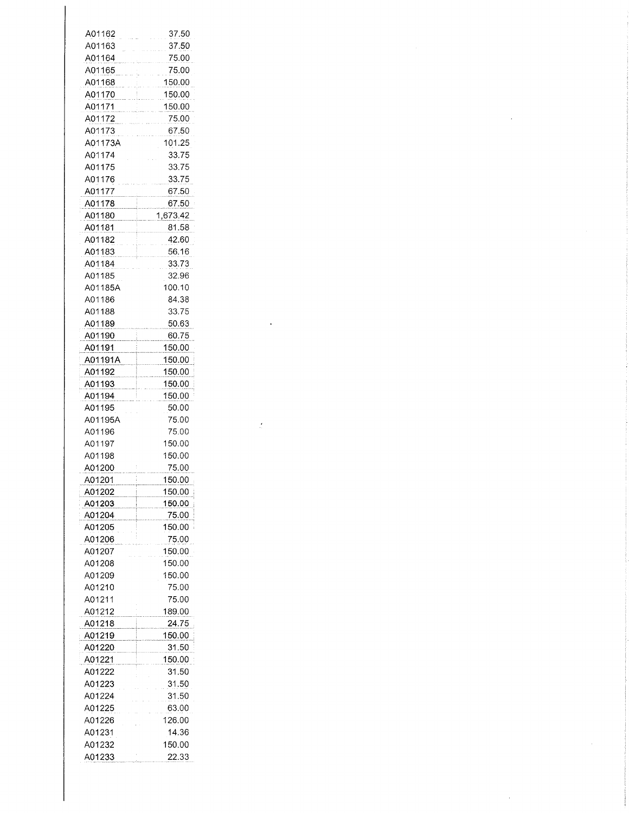| A01162  | 37.50    |
|---------|----------|
| A01163  | 37.50    |
| A01164  | 75.00    |
| A01165  | 75.00    |
| A01168  | 150.00   |
| A01170  | 150.00   |
| A01171  | 150.00   |
| A01172  | 75.00    |
| A01173  | 67.50    |
| A01173A | 101.25   |
| A01174  | 33.75    |
| A01175  | 33.75    |
| A01176  | 33.75    |
| A01177  | 67.50    |
| A01178  | 67.50    |
| A01180  | 1,673.42 |
| A01181  | 81.58    |
| A01182  | 42.60    |
|         |          |
| A01183  | 56.16    |
| A01184  | 33.73    |
| A01185  | 32.96    |
| A01185A | 100.10   |
| A01186  | 84.38    |
| A01188  | 33.75    |
| A01189  | 50.63    |
| A01190  | 60.75    |
| A01191  | 150.00   |
| A01191A | 150.00   |
| A01192  | 150.00   |
| A01193  | 150.00   |
| A01194  | 150.00   |
| A01195  | 50.00    |
| A01195A | 75.00    |
| A01196  | 75.00    |
| A01197  | 150.00   |
| A01198  | 150.00   |
|         |          |
| A01200  | 75.00    |
| A01201  | 150.00   |
| A01202  | 150.00   |
| A01203  | 150.00   |
| A01204  | 75.00    |
| A01205  | 150.00   |
| A01206  | 75.00    |
| A01207  | 150.00   |
| A01208  | 150.00   |
| A01209  | 150.00   |
| A01210  | 75.00    |
| A01211  | 75.00    |
| A01212  | 189.00   |
| A01218  | 24.75    |
| A01219  | 150.00   |
| A01220  | 31.50    |
| A01221  | 150.00   |
| A01222  | 31.50    |
| A01223  | 31.50    |
| A01224  | 31.50    |
| A01225  | 63.00    |
|         |          |
| A01226  | 126.00   |
| A01231  | 14.36    |
| A01232  | 150.00   |
| A01233  | 22.33    |

 $\label{eq:2.1} \frac{1}{\sqrt{2}}\int_{\mathbb{R}^3}\frac{1}{\sqrt{2}}\left(\frac{1}{\sqrt{2}}\right)^2\frac{1}{\sqrt{2}}\left(\frac{1}{\sqrt{2}}\right)^2\frac{1}{\sqrt{2}}\left(\frac{1}{\sqrt{2}}\right)^2\frac{1}{\sqrt{2}}\left(\frac{1}{\sqrt{2}}\right)^2.$ 

 $\label{eq:2.1} \frac{1}{2} \int_{\mathbb{R}^3} \frac{1}{\sqrt{2}} \, \frac{1}{\sqrt{2}} \, \frac{1}{\sqrt{2}} \, \frac{1}{\sqrt{2}} \, \frac{1}{\sqrt{2}} \, \frac{1}{\sqrt{2}} \, \frac{1}{\sqrt{2}} \, \frac{1}{\sqrt{2}} \, \frac{1}{\sqrt{2}} \, \frac{1}{\sqrt{2}} \, \frac{1}{\sqrt{2}} \, \frac{1}{\sqrt{2}} \, \frac{1}{\sqrt{2}} \, \frac{1}{\sqrt{2}} \, \frac{1}{\sqrt{2}} \, \frac{1}{\sqrt{2}} \,$ 

 $\label{eq:2.1} \frac{1}{\sqrt{2}}\int_{\mathbb{R}^3}\frac{1}{\sqrt{2}}\left(\frac{1}{\sqrt{2}}\right)^2\frac{1}{\sqrt{2}}\left(\frac{1}{\sqrt{2}}\right)^2\frac{1}{\sqrt{2}}\left(\frac{1}{\sqrt{2}}\right)^2.$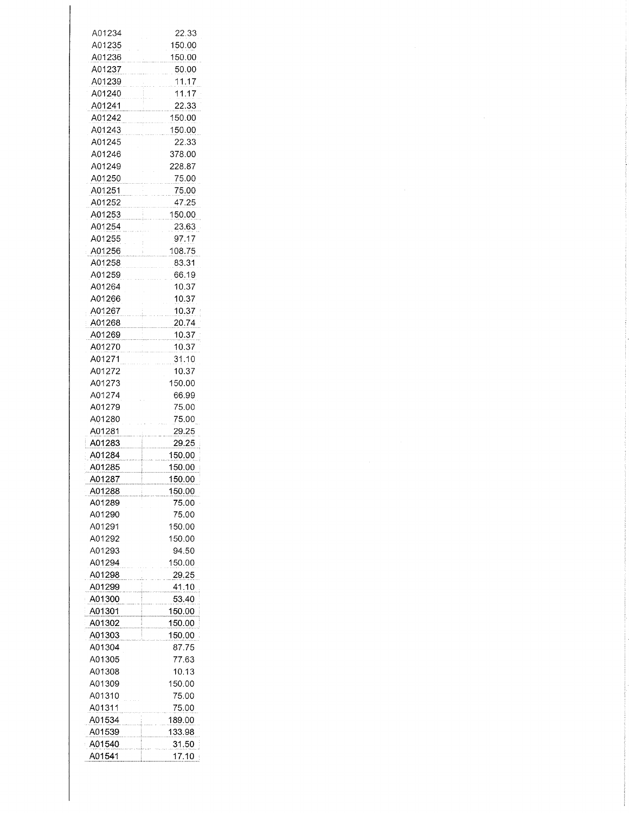| A01234 | 22.33  |
|--------|--------|
|        |        |
| A01235 | 150.00 |
| A01236 | 150.00 |
| A01237 | 50.00  |
|        |        |
| A01239 | 11.17  |
| A01240 | 11.17  |
| A01241 | 22.33  |
|        |        |
| A01242 | 150.00 |
| A01243 | 150.00 |
| A01245 | 22.33  |
|        |        |
| A01246 | 378.00 |
| A01249 | 228.87 |
| A01250 | 75.00  |
|        |        |
| A01251 | 75.00  |
| A01252 | 47.25  |
| A01253 | 150.00 |
|        |        |
| A01254 | 23.63  |
| A01255 | 97.17  |
| A01256 | 108.75 |
|        |        |
| A01258 | 83.31  |
| A01259 | 66.19  |
| A01264 | 10.37  |
|        |        |
| A01266 | 10.37  |
| A01267 | 10.37  |
| A01268 | 20.74  |
|        |        |
| A01269 | 10.37  |
| A01270 | 10.37  |
| A01271 | 31.10  |
|        |        |
| A01272 | 10.37  |
| A01273 | 150.00 |
| A01274 | 66.99  |
| A01279 | 75.00  |
|        |        |
| A01280 | 75.00  |
| A01281 | 29.25  |
| A01283 | 29.25  |
|        |        |
| A01284 | 150.00 |
| A01285 | 150.00 |
| A01287 | 150.00 |
|        |        |
| A01288 | 150.00 |
| A01289 | 75.00  |
| A01290 | 75.00  |
| A01291 | 150.00 |
|        |        |
| A01292 | 150.00 |
| A01293 | 94.50  |
| A01294 | 150.00 |
|        |        |
| A01298 | 29.25  |
| A01299 | 41.10  |
| A01300 | 53.40  |
|        |        |
| A01301 | 150.00 |
| A01302 | 150.00 |
| A01303 | 150.00 |
| A01304 | 87.75  |
|        |        |
| A01305 | 77.63  |
| A01308 | 10.13  |
| A01309 | 150.00 |
|        |        |
| A01310 | 75.00  |
| A01311 | 75.00  |
| A01534 | 189.00 |
|        |        |
| A01539 | 133.98 |
| A01540 | 31.50  |
| A01541 | 17.10  |
|        |        |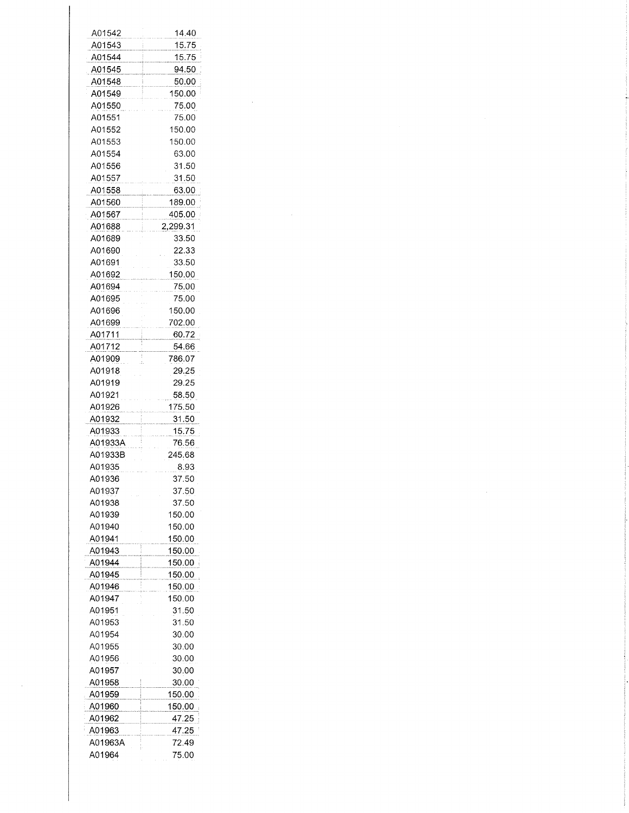| A01542  | 14.40    |  |
|---------|----------|--|
| A01543  | 15.75    |  |
| A01544  | 15.75    |  |
| A01545  | 94.50    |  |
| A01548  | 50.00    |  |
| A01549  | 150.00   |  |
| A01550  | 75.00    |  |
| A01551  | 75.00    |  |
| A01552  | 150.00   |  |
| A01553  | 150.00   |  |
| A01554  | 63.00    |  |
| A01556  | 31.50    |  |
| A01557  | 31.50    |  |
| A01558  | 63.00    |  |
| A01560  | 189.00   |  |
| A01567  | 405.00   |  |
| A01688  | 2,299.31 |  |
| A01689  | 33.50    |  |
| A01690  | 22.33    |  |
| A01691  | 33.50    |  |
| A01692  | 150.00   |  |
| A01694  | 75.00    |  |
| A01695  | 75.00    |  |
| A01696  | 150.00   |  |
| A01699  | 702.00   |  |
| A01711  | 60.72    |  |
| A01712  | 54.66    |  |
| A01909  | 786.07   |  |
| A01918  | 29.25    |  |
|         |          |  |
| A01919  | 29.25    |  |
| A01921  | 58.50    |  |
| A01926  | 175.50   |  |
| A01932  | 31.50    |  |
| A01933  | 15.75    |  |
| A01933A | 76.56    |  |
| A01933B | 245.68   |  |
| A01935  | 8.93     |  |
| A01936  | 37.50    |  |
| A01937  | 37.50    |  |
| A01938  | 37.50    |  |
| A01939  | 150.00   |  |
| A01940  | 150.00   |  |
| A01941  | 150.00   |  |
| A01943  | 150.00   |  |
| A01944  | 150.00   |  |
| A01945  | 150.00   |  |
| A01946  | 150.00   |  |
| A01947  | 150.00   |  |
| A01951  | 31.50    |  |
| A01953  | 31.50    |  |
| A01954  | 30.00    |  |
| A01955  | 30.00    |  |
| A01956  | 30.00    |  |
| A01957  | 30.00    |  |
| A01958  | 30.00    |  |
| A01959  | 150.00   |  |
| A01960  | 150.00   |  |
| A01962  | 47.25    |  |
| A01963  | 47.25    |  |
| A01963A | 72.49    |  |
| A01964  | 75.00    |  |
|         |          |  |

 $\mathcal{A}^{\text{out}}$ 

 $\label{eq:2.1} \frac{1}{\sqrt{2}}\int_{0}^{\infty}\frac{1}{\sqrt{2\pi}}\left(\frac{1}{\sqrt{2\pi}}\right)^{2\alpha} \frac{1}{\sqrt{2\pi}}\int_{0}^{\infty}\frac{1}{\sqrt{2\pi}}\left(\frac{1}{\sqrt{2\pi}}\right)^{\alpha} \frac{1}{\sqrt{2\pi}}\frac{1}{\sqrt{2\pi}}\int_{0}^{\infty}\frac{1}{\sqrt{2\pi}}\frac{1}{\sqrt{2\pi}}\frac{1}{\sqrt{2\pi}}\frac{1}{\sqrt{2\pi}}\frac{1}{\sqrt{2\pi}}\frac{1}{\sqrt{2\pi}}$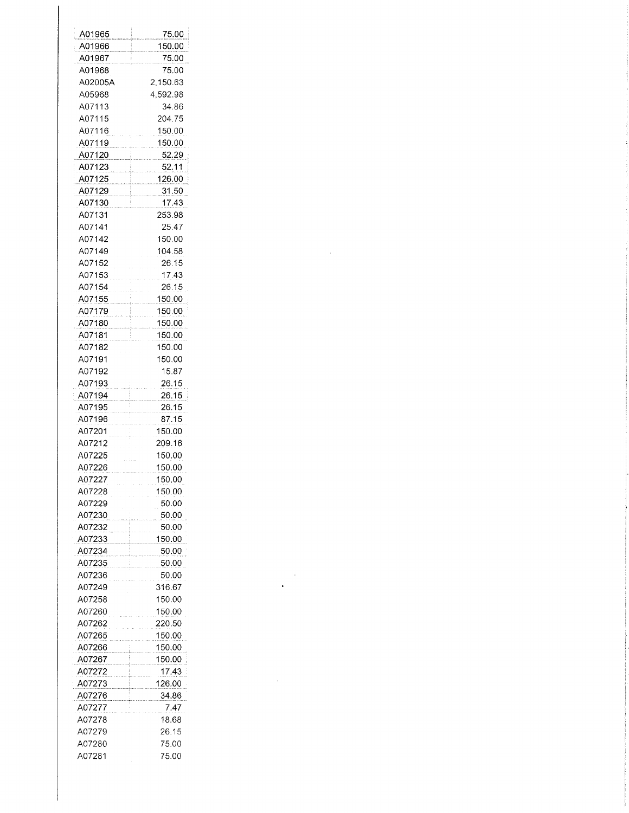| A01965        | 75.00                |
|---------------|----------------------|
| A01966        | 150.00               |
| A01967        | 75.00                |
| A01968        | 75.00                |
| A02005A       | 2,150.63             |
| A05968        | 4,592.98             |
| A07113        | 34.86                |
| A07115        | 204.75               |
| A07116        | 150.00               |
| A07119        | 150.00               |
| A07120        | 52.29                |
| A07123        | 52.11                |
| A07125        | 126.00               |
| A07129        | 31.50                |
| A07130        | 17.43                |
| A07131        | 253.98               |
| A07141        | 25.47                |
| A07142        | 150.00               |
| A07149        | 104.58               |
| A07152        | 26.15                |
| A07153        | 17.43                |
| A07154        | 26.15                |
| A07155        | <u>150.00</u>        |
| A07179        | 150.00               |
| A07180        | 150.00               |
| <u>A07181</u> | <u>150.00</u>        |
| A07182        | 150.00               |
| A07191        | 150.00               |
| A07192        | 15.87                |
| A07193        | 26.15                |
| <u>A07194</u> | 26.15                |
| A07195        | 26.15                |
| A07196        | 87.15                |
| A07201        | 150.00               |
| A07212        | 209.16               |
| A07225        | 150.00               |
| A07226        | 150.00               |
| A07227        | 150.00               |
| A07228        | 150.00               |
| A07229        | 50.00                |
| A07230        | 50.00                |
| A07232        | 50.00                |
| A07233        | <u>150.00</u><br>- t |
| A07234        | 50.00                |
| A07235        | 50.00                |
| A07236        | 50.00                |
| A07249        | 316.67               |
| A07258        | 150.00               |
| A07260        | 150.00               |
| A07262        | 220.50               |
| A07265        | 150.00               |
| A07266        | 150.00               |
| A07267        | 150.00               |
| A07272        | 17.43                |
| A07273        | 126.00               |
| A07276        | 34.86                |
| A07277        | 7.47                 |
| A07278        | 18.68                |
| A07279        | 26.15                |
| A07280        | 75.00                |
| A07281        | 75.00                |

 $\label{eq:2} \frac{1}{\sqrt{2}}\left(\frac{1}{\sqrt{2}}\right)^{2} \left(\frac{1}{\sqrt{2}}\right)^{2}$ 

 $\label{eq:2.1} \frac{1}{\sqrt{2}}\int_{\mathbb{R}^3}\frac{1}{\sqrt{2}}\left(\frac{1}{\sqrt{2}}\right)^2\frac{1}{\sqrt{2}}\left(\frac{1}{\sqrt{2}}\right)^2\frac{1}{\sqrt{2}}\left(\frac{1}{\sqrt{2}}\right)^2\frac{1}{\sqrt{2}}\left(\frac{1}{\sqrt{2}}\right)^2.$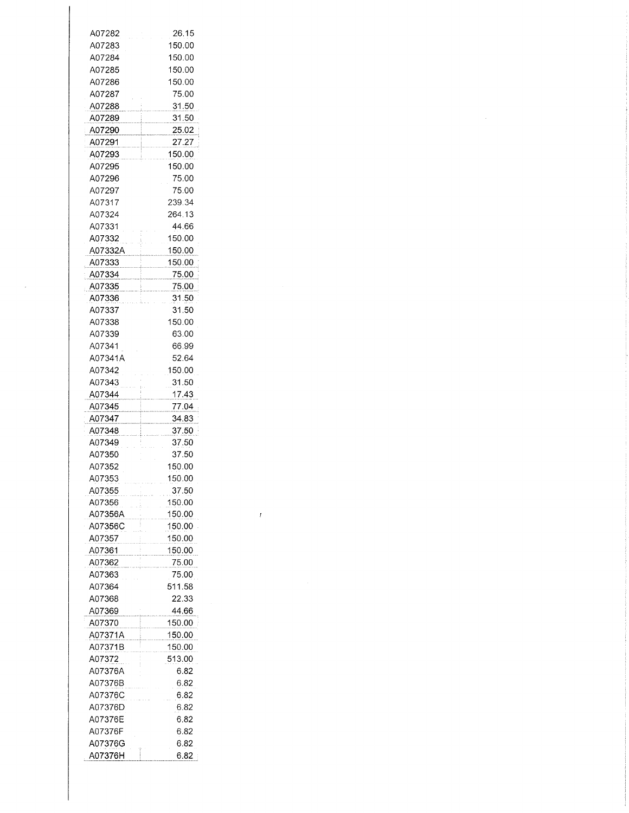| A07282  | 26.15  |
|---------|--------|
| A07283  | 150.00 |
| A07284  | 150.00 |
| A07285  | 150.00 |
| A07286  | 150.00 |
| A07287  | 75.00  |
| A07288  | 31.50  |
| A07289  | 31.50  |
| A07290  | 25.02  |
| A07291  | 27.27  |
| A07293  | 150.00 |
| A07295  | 150.00 |
| A07296  | 75.00  |
| A07297  | 75.00  |
| A07317  | 239.34 |
| A07324  | 264.13 |
| A07331  | 44.66  |
| A07332  | 150.00 |
| A07332A | 150.00 |
| A07333  | 150.00 |
| A07334  | 75.00  |
| A07335  | 75.00  |
| A07336  | 31.50  |
| A07337  | 31.50  |
| A07338  | 150.00 |
| A07339  | 63.00  |
| A07341  | 66.99  |
|         |        |
| A07341A | 52.64  |
| A07342  | 150.00 |
| A07343  | 31.50  |
| A07344  | 17.43  |
| A07345  | 77.04  |
| A07347  | 34.83  |
| A07348  | 37.50  |
| A07349  | 37.50  |
| A07350  | 37.50  |
| A07352  | 150.00 |
| A07353  | 150.00 |
| A07355  | 37.50  |
| A07356  | 150.00 |
| A07356A | 150.00 |
| A07356C | 150.00 |
| A07357  | 150.00 |
| A07361  | 150.00 |
| A07362  | 75.00  |
| A07363  | 75.00  |
| A07364  | 511.58 |
| A07368  | 22.33  |
| A07369  | 44.66  |
| A07370  |        |
|         | 150.00 |
| A07371A | 150.00 |
| A07371B | 150.00 |
| A07372  | 513.00 |
| A07376A | 6.82   |
| A07376B | 6.82   |
| A07376C | 6.82   |
| A07376D | 6.82   |
| A07376E | 6.82   |
| A07376F | 6.82   |
| A07376G | 6.82   |
| A07376H | 6.82   |

 $\mathcal{L}^{\mathcal{L}}$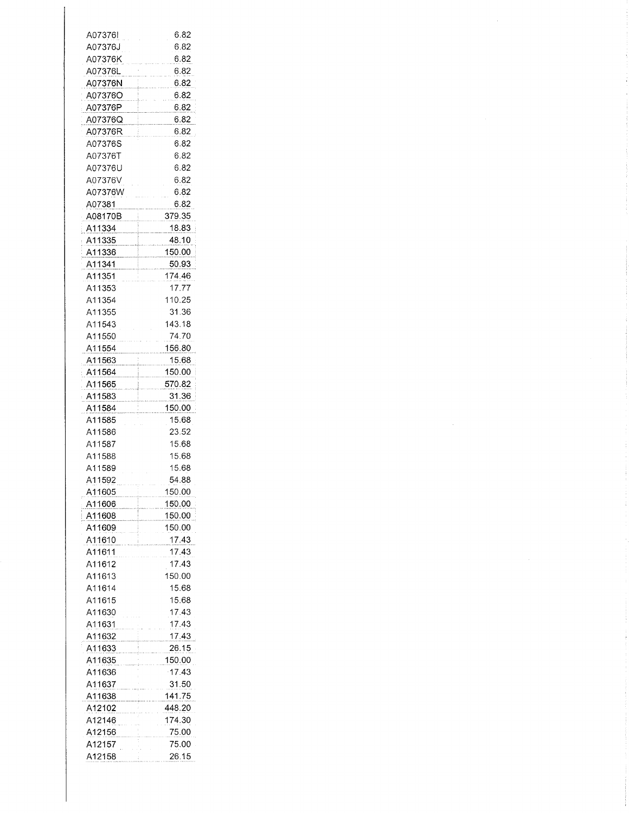| A07376l | 6.82          |
|---------|---------------|
| A07376J | 6.82          |
| A07376K | 6.82          |
|         |               |
| A07376L | 6.82          |
| A07376N | 6.82          |
| A07376O | 6.82          |
| A07376P | 6.82          |
| A07376Q | 6.82          |
| A07376R | 6.82          |
| A07376S | 6.82          |
| A07376T | 6.82          |
| A07376U | 6.82          |
| A07376V | 6.82          |
|         |               |
| A07376W | 6.82          |
| A07381  | 6.82          |
| A08170B | <u>379.35</u> |
| A11334  | 18.83         |
| A11335  | 48.10         |
| A11336  | 150.00        |
| A11341  | 50.93         |
| A11351  | 174.46        |
| A11353  | 17.77         |
| A11354  | 110.25        |
| A11355  | 31.36         |
|         |               |
| A11543  | 143.18        |
| A11550  | 74.70         |
| A11554  | 156.80        |
| A11563  | 15.68         |
| A11564  | 150.00        |
| A11565  | 570.82        |
| A11583  | <u>31.36</u>  |
| A11584  | 150.00        |
| A11585  | 15.68         |
| A11586  | 23.52         |
| A11587  |               |
|         | 15.68         |
| A11588  | 15.68         |
| A11589  | 15.68         |
| A11592  | 54.88         |
| A11605  | 150.00        |
| A11606  | 150.00        |
| A11608  | 150.00        |
| A11609  | 150.00        |
| A11610  | 17.43         |
| A11611  | 17.43         |
| A11612  | 17.43         |
| A11613  | 150.00        |
|         |               |
| A11614  | 15.68         |
| A11615  | 15.68         |
| A11630  | 17.43         |
| A11631  | 17.43         |
| A11632  | <u>17.43</u>  |
| A11633  | 26.15         |
| A11635  | 150.00        |
| A11636  | 17.43         |
| A11637  | 31.50         |
| A11638  | 141.75        |
| A12102  | 448.20        |
|         |               |
| A12146  | 174.30        |
| A12156  | 75.00         |
| A12157  | 75.00         |
| A12158  | 26.15         |

 $\frac{1}{3}$ 

 $\frac{1}{3}$ 

 $\ddot{\ddot{\mathrm{i}}}$ 

ŧ ł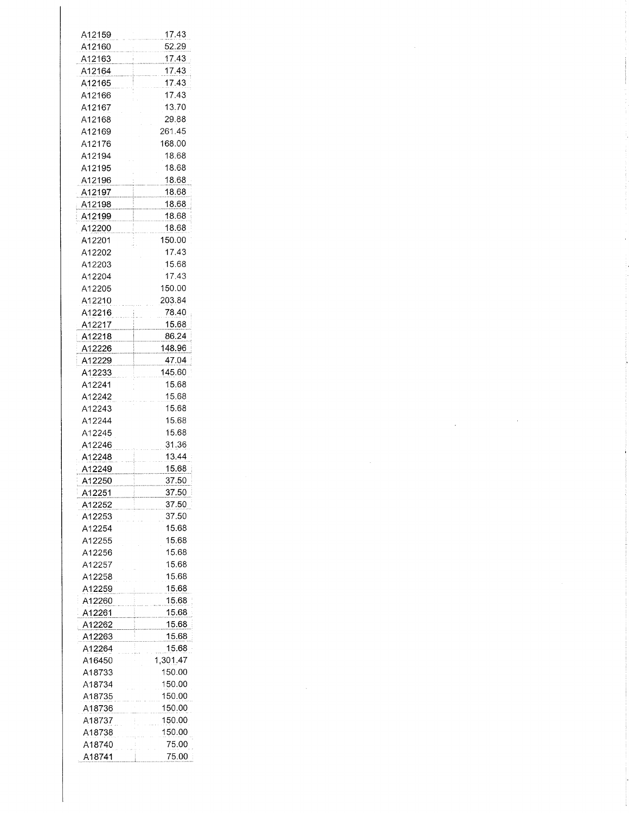| A12159 | 17.43    |
|--------|----------|
| A12160 | 52.29    |
|        |          |
| A12163 | 17.43    |
| A12164 | 17.43    |
| A12165 | 17.43    |
|        | 17.43    |
| A12166 |          |
| A12167 | 13.70    |
| A12168 | 29.88    |
| A12169 | 261.45   |
| A12176 | 168.00   |
|        |          |
| A12194 | 18.68    |
| A12195 | 18.68    |
| A12196 | 18.68    |
| A12197 | 18.68    |
|        |          |
| A12198 | 18.68    |
| A12199 | 18.68    |
| A12200 | 18.68    |
| A12201 | 150.00   |
|        |          |
| A12202 | 17.43    |
| A12203 | 15.68    |
| A12204 | 17.43    |
| A12205 | 150.00   |
|        |          |
| A12210 | 203.84   |
| A12216 | 78.40    |
| A12217 | 15.68    |
|        | 86.24    |
| A12218 |          |
| A12226 | 148.96   |
| A12229 | 47.04    |
| A12233 | 145.60   |
| A12241 | 15.68    |
|        |          |
| A12242 | 15.68    |
| A12243 | 15.68    |
| A12244 | 15.68    |
| A12245 | 15.68    |
|        |          |
| A12246 | 31.36    |
| A12248 | 13.44    |
| A12249 | 15.68    |
| A12250 | 37.50    |
|        |          |
| A12251 | 37.50    |
| A12252 | 37.50    |
| A12253 | 37.50    |
| A12254 | 15.68    |
| A12255 | 15.68    |
|        |          |
| A12256 | 15.68    |
| A12257 | 15.68    |
| A12258 | 15.68    |
| A12259 | 15.68    |
|        |          |
| A12260 | 15.68    |
| A12261 | 15.68    |
| A12262 | 15.68    |
| A12263 | 15.68    |
|        | 15.68    |
| A12264 |          |
| A16450 | 1,301.47 |
| A18733 | 150.00   |
| A18734 | 150.00   |
| A18735 | 150.00   |
|        |          |
| A18736 | 150.00   |
| A18737 | 150.00   |
| A18738 | 150.00   |
| A18740 | 75.00    |
|        |          |
| A18741 | 75.00    |

f.

 $\label{eq:2.1} \mathcal{L}(\mathcal{L}^{\text{max}}_{\mathcal{L}}(\mathcal{L}^{\text{max}}_{\mathcal{L}})) \leq \mathcal{L}(\mathcal{L}^{\text{max}}_{\mathcal{L}}(\mathcal{L}^{\text{max}}_{\mathcal{L}}))$ 

 $\label{eq:2.1} \frac{1}{\sqrt{2}}\int_{\mathbb{R}^3}\frac{1}{\sqrt{2}}\left(\frac{1}{\sqrt{2}}\right)^2\frac{1}{\sqrt{2}}\left(\frac{1}{\sqrt{2}}\right)^2\frac{1}{\sqrt{2}}\left(\frac{1}{\sqrt{2}}\right)^2\frac{1}{\sqrt{2}}\left(\frac{1}{\sqrt{2}}\right)^2\frac{1}{\sqrt{2}}\left(\frac{1}{\sqrt{2}}\right)^2\frac{1}{\sqrt{2}}\frac{1}{\sqrt{2}}\frac{1}{\sqrt{2}}\frac{1}{\sqrt{2}}\frac{1}{\sqrt{2}}\frac{1}{\sqrt{2}}$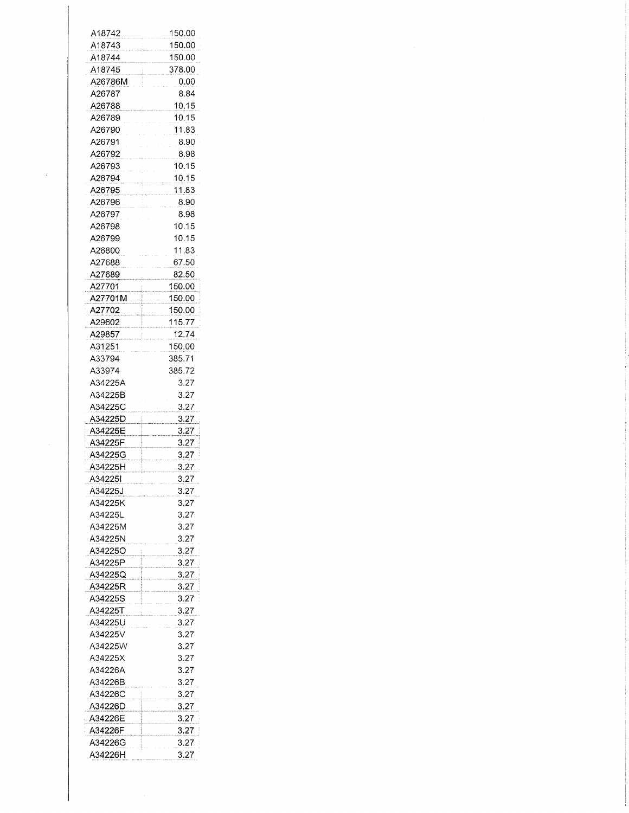| A18742  | 150.00 |
|---------|--------|
| A18743  | 150.00 |
| A18744  | 150.00 |
| A18745  | 378.00 |
| A26786M | 0.00   |
| A26787  | 8.84   |
| A26788  | 10.15  |
| A26789  | 10.15  |
| A26790  | 11.83  |
| A26791  | 8.90   |
| A26792  | 8.98   |
| A26793  | 10.15  |
|         | 10.15  |
| A26794  |        |
| A26795  | 11.83  |
| A26796  | 8.90   |
| A26797  | 8.98   |
| A26798  | 10.15  |
| A26799  | 10.15  |
| A26800  | 11.83  |
| A27688  | 67.50  |
| A27689  | 82.50  |
| A27701  | 150.00 |
| A27701M | 150.00 |
| A27702  | 150.00 |
| A29602  | 115.77 |
| A29857  | 12.74  |
|         |        |
| A31251  | 150.00 |
| A33794  | 385.71 |
| A33974  | 385.72 |
| A34225A | 3.27   |
| A34225B | 3.27   |
| A34225C | 3.27   |
| A34225D | 3.27   |
| A34225E | 3.27   |
| A34225F | 3.27   |
| A34225G | 3.27   |
| A34225H | 3.27   |
| A342251 | 3.27   |
| A34225J | 3.27   |
| A34225K | 3.27   |
| A34225L | 3.27   |
| A34225M |        |
|         | 3.27   |
|         | 3.27   |
| A34225N |        |
| A34225O | 3.27   |
| A34225P | 3.27   |
| A34225Q | 3.27   |
| A34225R | 3.27   |
| A34225S | 3.27   |
| A34225T | 3.27   |
| A34225U | 3.27   |
| A34225V | 3.27   |
|         |        |
| A34225W | 3.27   |
| A34225X | 3.27   |
| A34226A | 3.27   |
| A34226B | 3.27   |
| A34226C | 3.27   |
| A34226D | 3.27   |
| A34226E | 3.27   |
| A34226F | 3.27   |
| A34226G | 3.27   |

 $\mathcal{L}^{(1)}$